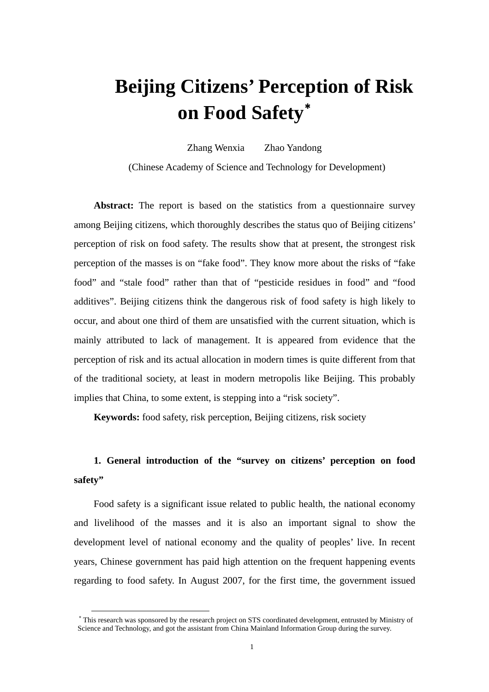# **Beijing Citizens' Perception of Risk on Food Safety**[∗](#page-0-0)

Zhang Wenxia Zhao Yandong (Chinese Academy of Science and Technology for Development)

**Abstract:** The report is based on the statistics from a questionnaire survey among Beijing citizens, which thoroughly describes the status quo of Beijing citizens' perception of risk on food safety. The results show that at present, the strongest risk perception of the masses is on "fake food". They know more about the risks of "fake food" and "stale food" rather than that of "pesticide residues in food" and "food additives". Beijing citizens think the dangerous risk of food safety is high likely to occur, and about one third of them are unsatisfied with the current situation, which is mainly attributed to lack of management. It is appeared from evidence that the perception of risk and its actual allocation in modern times is quite different from that of the traditional society, at least in modern metropolis like Beijing. This probably implies that China, to some extent, is stepping into a "risk society".

**Keywords:** food safety, risk perception, Beijing citizens, risk society

# **1. General introduction of the "survey on citizens' perception on food safety"**

Food safety is a significant issue related to public health, the national economy and livelihood of the masses and it is also an important signal to show the development level of national economy and the quality of peoples' live. In recent years, Chinese government has paid high attention on the frequent happening events regarding to food safety. In August 2007, for the first time, the government issued

<span id="page-0-0"></span><sup>∗</sup> This research was sponsored by the research project on STS coordinated development, entrusted by Ministry of Science and Technology, and got the assistant from China Mainland Information Group during the survey.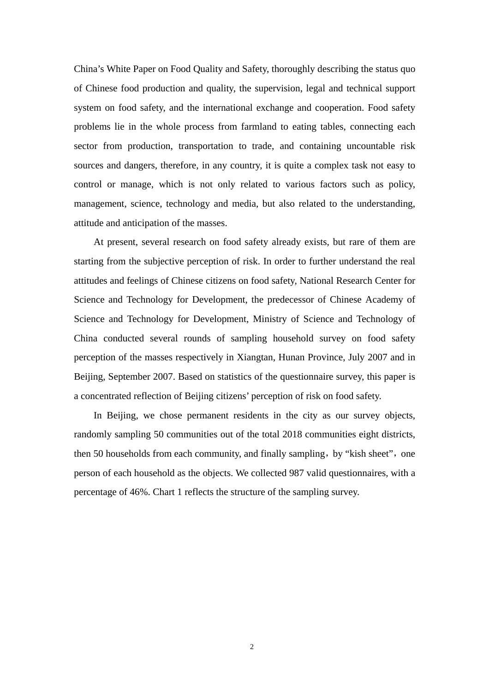China's White Paper on Food Quality and Safety, thoroughly describing the status quo of Chinese food production and quality, the supervision, legal and technical support system on food safety, and the international exchange and cooperation. Food safety problems lie in the whole process from farmland to eating tables, connecting each sector from production, transportation to trade, and containing uncountable risk sources and dangers, therefore, in any country, it is quite a complex task not easy to control or manage, which is not only related to various factors such as policy, management, science, technology and media, but also related to the understanding, attitude and anticipation of the masses.

At present, several research on food safety already exists, but rare of them are starting from the subjective perception of risk. In order to further understand the real attitudes and feelings of Chinese citizens on food safety, National Research Center for Science and Technology for Development, the predecessor of Chinese Academy of Science and Technology for Development, Ministry of Science and Technology of China conducted several rounds of sampling household survey on food safety perception of the masses respectively in Xiangtan, Hunan Province, July 2007 and in Beijing, September 2007. Based on statistics of the questionnaire survey, this paper is a concentrated reflection of Beijing citizens' perception of risk on food safety.

In Beijing, we chose permanent residents in the city as our survey objects, randomly sampling 50 communities out of the total 2018 communities eight districts, then 50 households from each community, and finally sampling, by "kish sheet", one person of each household as the objects. We collected 987 valid questionnaires, with a percentage of 46%. Chart 1 reflects the structure of the sampling survey.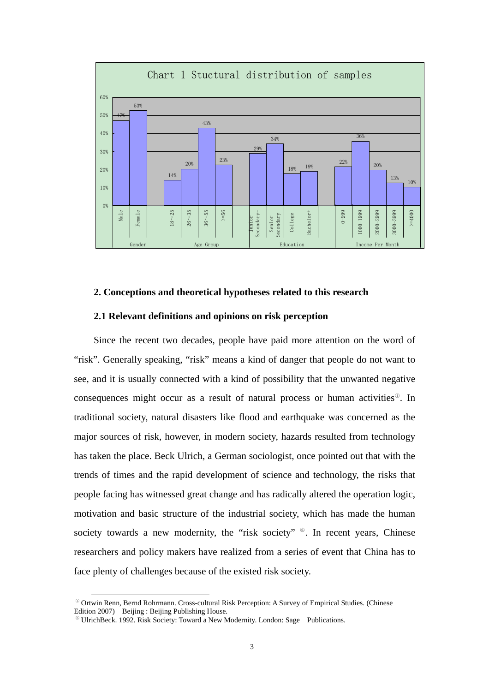

## **2. Conceptions and theoretical hypotheses related to this research**

#### **2.1 Relevant definitions and opinions on risk perception**

Since the recent two decades, people have paid more attention on the word of "risk". Generally speaking, "risk" means a kind of danger that people do not want to see, and it is usually connected with a kind of possibility that the unwanted negative consequences might occur as a result of natural process or human activities[①](#page-2-0). In traditional society, natural disasters like flood and earthquake was concerned as the major sources of risk, however, in modern society, hazards resulted from technology has taken the place. Beck Ulrich, a German sociologist, once pointed out that with the trends of times and the rapid development of science and technology, the risks that people facing has witnessed great change and has radically altered the operation logic, motivation and basic structure of the industrial society, which has made the human society towards a new modernity, the "risk society" <sup>2</sup>. In recent years, Chinese researchers and policy makers have realized from a series of event that China has to face plenty of challenges because of the existed risk society.

<span id="page-2-0"></span> $^{\circ}$  Ortwin Renn, Bernd Rohrmann. Cross-cultural Risk Perception: A Survey of Empirical Studies. (Chinese Edition 2007) Beijing : Beijing Publishing House.

<span id="page-2-1"></span><sup>②</sup> UlrichBeck. 1992. Risk Society: Toward a New Modernity. London: Sage Publications.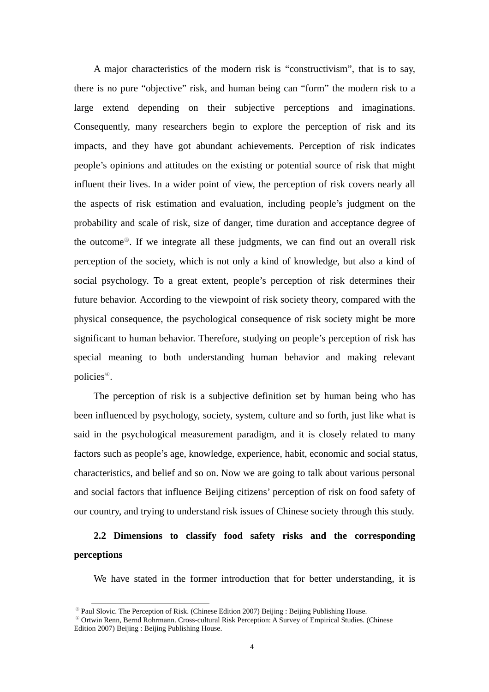A major characteristics of the modern risk is "constructivism", that is to say, there is no pure "objective" risk, and human being can "form" the modern risk to a large extend depending on their subjective perceptions and imaginations. Consequently, many researchers begin to explore the perception of risk and its impacts, and they have got abundant achievements. Perception of risk indicates people's opinions and attitudes on the existing or potential source of risk that might influent their lives. In a wider point of view, the perception of risk covers nearly all the aspects of risk estimation and evaluation, including people's judgment on the probability and scale of risk, size of danger, time duration and acceptance degree of the outcome[③](#page-3-0). If we integrate all these judgments, we can find out an overall risk perception of the society, which is not only a kind of knowledge, but also a kind of social psychology. To a great extent, people's perception of risk determines their future behavior. According to the viewpoint of risk society theory, compared with the physical consequence, the psychological consequence of risk society might be more significant to human behavior. Therefore, studying on people's perception of risk has special meaning to both understanding human behavior and making relevant policies[④](#page-3-1).

The perception of risk is a subjective definition set by human being who has been influenced by psychology, society, system, culture and so forth, just like what is said in the psychological measurement paradigm, and it is closely related to many factors such as people's age, knowledge, experience, habit, economic and social status, characteristics, and belief and so on. Now we are going to talk about various personal and social factors that influence Beijing citizens' perception of risk on food safety of our country, and trying to understand risk issues of Chinese society through this study.

# **2.2 Dimensions to classify food safety risks and the corresponding perceptions**

We have stated in the former introduction that for better understanding, it is

<sup>&</sup>lt;sup>®</sup> Paul Slovic. The Perception of Risk. (Chinese Edition 2007) Beijing : Beijing Publishing House.

<span id="page-3-1"></span><span id="page-3-0"></span><sup>④</sup> Ortwin Renn, Bernd Rohrmann. Cross-cultural Risk Perception: A Survey of Empirical Studies. (Chinese Edition 2007) Beijing : Beijing Publishing House.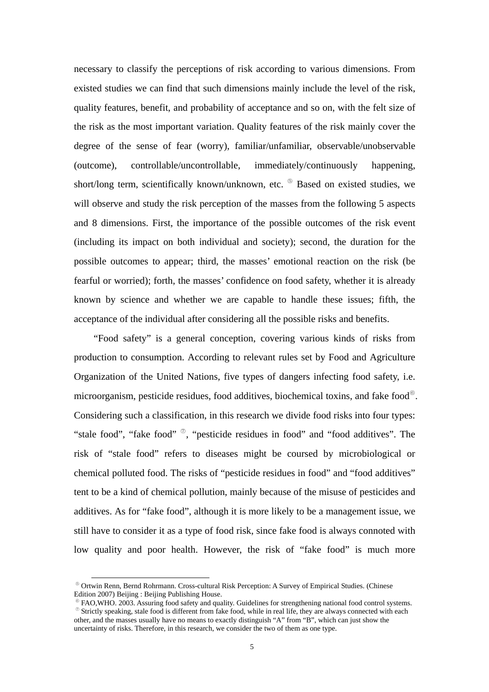necessary to classify the perceptions of risk according to various dimensions. From existed studies we can find that such dimensions mainly include the level of the risk, quality features, benefit, and probability of acceptance and so on, with the felt size of the risk as the most important variation. Quality features of the risk mainly cover the degree of the sense of fear (worry), familiar/unfamiliar, observable/unobservable (outcome), controllable/uncontrollable, immediately/continuously happening, short/long term, scientifically known/unknown, etc.  $\mathcal{O}$  Based on existed studies, we will observe and study the risk perception of the masses from the following 5 aspects and 8 dimensions. First, the importance of the possible outcomes of the risk event (including its impact on both individual and society); second, the duration for the possible outcomes to appear; third, the masses' emotional reaction on the risk (be fearful or worried); forth, the masses' confidence on food safety, whether it is already known by science and whether we are capable to handle these issues; fifth, the acceptance of the individual after considering all the possible risks and benefits.

"Food safety" is a general conception, covering various kinds of risks from production to consumption. According to relevant rules set by Food and Agriculture Organization of the United Nations, five types of dangers infecting food safety, i.e. microorganism, pesticide residues, food additives, biochemical toxins, and fake food[⑥](#page-4-1). Considering such a classification, in this research we divide food risks into four types: "stale food", "fake food"  $\overset{\circ}{\circ}$ , "pesticide residues in food" and "food additives". The risk of "stale food" refers to diseases might be coursed by microbiological or chemical polluted food. The risks of "pesticide residues in food" and "food additives" tent to be a kind of chemical pollution, mainly because of the misuse of pesticides and additives. As for "fake food", although it is more likely to be a management issue, we still have to consider it as a type of food risk, since fake food is always connoted with low quality and poor health. However, the risk of "fake food" is much more

<span id="page-4-0"></span><sup>⑤</sup> Ortwin Renn, Bernd Rohrmann. Cross-cultural Risk Perception: A Survey of Empirical Studies. (Chinese Edition 2007) Beijing : Beijing Publishing House.

<span id="page-4-2"></span><span id="page-4-1"></span>FAO,WHO. 2003. Assuring food safety and quality. Guidelines for strengthening national food control systems. <sup>⑦</sup> Strictly speaking, stale food is different from fake food, while in real life, they are always connected with each other, and the masses usually have no means to exactly distinguish "A" from "B", which can just show the uncertainty of risks. Therefore, in this research, we consider the two of them as one type.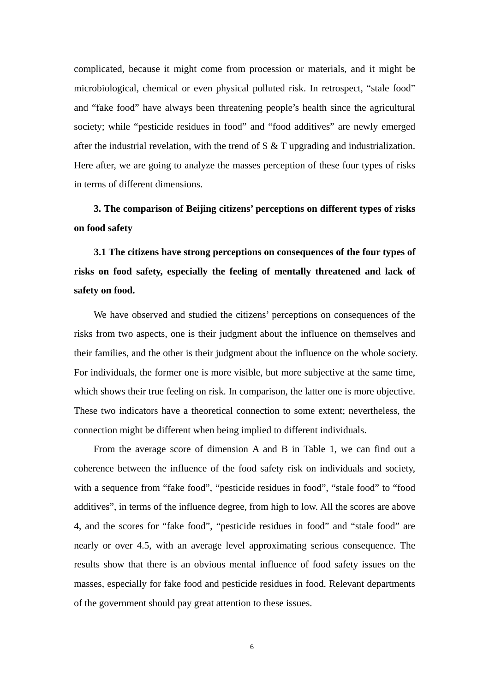complicated, because it might come from procession or materials, and it might be microbiological, chemical or even physical polluted risk. In retrospect, "stale food" and "fake food" have always been threatening people's health since the agricultural society; while "pesticide residues in food" and "food additives" are newly emerged after the industrial revelation, with the trend of S & T upgrading and industrialization. Here after, we are going to analyze the masses perception of these four types of risks in terms of different dimensions.

**3. The comparison of Beijing citizens' perceptions on different types of risks on food safety** 

**3.1 The citizens have strong perceptions on consequences of the four types of risks on food safety, especially the feeling of mentally threatened and lack of safety on food.** 

We have observed and studied the citizens' perceptions on consequences of the risks from two aspects, one is their judgment about the influence on themselves and their families, and the other is their judgment about the influence on the whole society. For individuals, the former one is more visible, but more subjective at the same time, which shows their true feeling on risk. In comparison, the latter one is more objective. These two indicators have a theoretical connection to some extent; nevertheless, the connection might be different when being implied to different individuals.

From the average score of dimension A and B in Table 1, we can find out a coherence between the influence of the food safety risk on individuals and society, with a sequence from "fake food", "pesticide residues in food", "stale food" to "food additives", in terms of the influence degree, from high to low. All the scores are above 4, and the scores for "fake food", "pesticide residues in food" and "stale food" are nearly or over 4.5, with an average level approximating serious consequence. The results show that there is an obvious mental influence of food safety issues on the masses, especially for fake food and pesticide residues in food. Relevant departments of the government should pay great attention to these issues.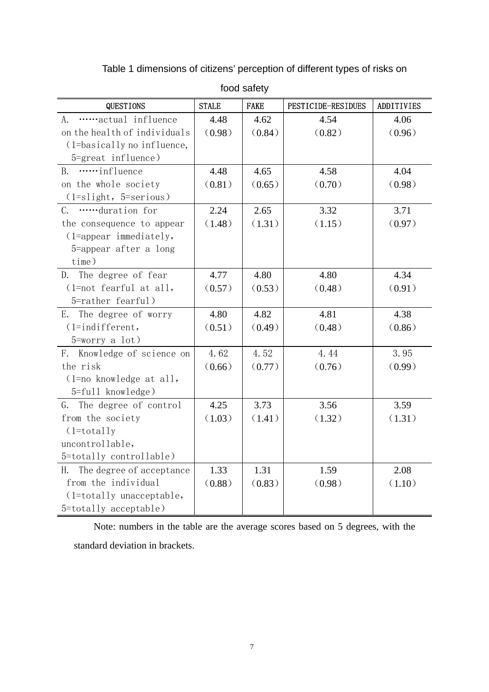| <b>QUESTIONS</b>             | <b>STALE</b> | <b>FAKE</b> | PESTICIDE-RESIDUES | <b>ADDITIVIES</b> |
|------------------------------|--------------|-------------|--------------------|-------------------|
| actual influence<br>A.       | 4.48         | 4.62        | 4.54               | 4.06              |
| on the health of individuals | (0.98)       | (0.84)      | (0.82)             | (0.96)            |
| (1=basically no influence,   |              |             |                    |                   |
| 5=great influence)           |              |             |                    |                   |
| influence<br><b>B.</b>       | 4.48         | 4.65        | 4.58               | 4.04              |
| on the whole society         | (0.81)       | (0.65)      | (0.70)             | (0.98)            |
| $(1=slight, 5=serious)$      |              |             |                    |                   |
| C. duration for              | 2.24         | 2.65        | 3.32               | 3.71              |
| the consequence to appear    | (1.48)       | (1.31)      | (1.15)             | (0.97)            |
| $(1 = appear immediately,$   |              |             |                    |                   |
| 5=appear after a long        |              |             |                    |                   |
| time)                        |              |             |                    |                   |
| D. The degree of fear        | 4.77         | 4.80        | 4.80               | 4.34              |
| (1=not fearful at all,       | (0.57)       | (0.53)      | (0.48)             | (0.91)            |
| 5=rather fearful)            |              |             |                    |                   |
| E. The degree of worry       | 4.80         | 4.82        | 4.81               | 4.38              |
| $(1 = indifferent,$          | (0.51)       | (0.49)      | (0.48)             | (0.86)            |
| $5 = worry$ a lot)           |              |             |                    |                   |
| F. Knowledge of science on   | 4.62         | 4.52        | 4.44               | 3.95              |
| the risk                     | (0.66)       | (0.77)      | (0.76)             | (0.99)            |
| $(1 = no$ knowledge at all,  |              |             |                    |                   |
| 5=full knowledge)            |              |             |                    |                   |
| G. The degree of control     | 4.25         | 3.73        | 3.56               | 3.59              |
| from the society             | (1.03)       | (1.41)      | (1.32)             | (1.31)            |
| $(1 = totally$               |              |             |                    |                   |
| uncontrollable,              |              |             |                    |                   |
| 5=totally controllable)      |              |             |                    |                   |
| H. The degree of acceptance  | 1.33         | 1.31        | 1.59               | 2.08              |
| from the individual          | (0.88)       | (0.83)      | (0.98)             | (1.10)            |
| (1=totally unacceptable,     |              |             |                    |                   |
| 5=totally acceptable)        |              |             |                    |                   |

Table 1 dimensions of citizens' perception of different types of risks on

food safety

Note: numbers in the table are the average scores based on 5 degrees, with the standard deviation in brackets.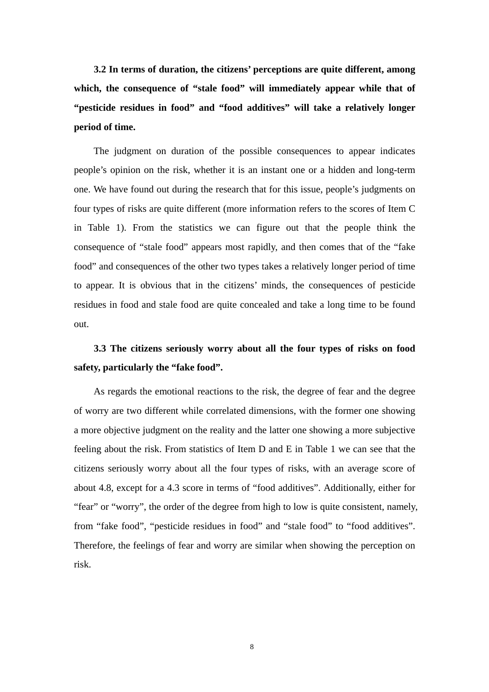**3.2 In terms of duration, the citizens' perceptions are quite different, among**  which, the consequence of "stale food" will immediately appear while that of **"pesticide residues in food" and "food additives" will take a relatively longer period of time.** 

The judgment on duration of the possible consequences to appear indicates people's opinion on the risk, whether it is an instant one or a hidden and long-term one. We have found out during the research that for this issue, people's judgments on four types of risks are quite different (more information refers to the scores of Item C in Table 1). From the statistics we can figure out that the people think the consequence of "stale food" appears most rapidly, and then comes that of the "fake food" and consequences of the other two types takes a relatively longer period of time to appear. It is obvious that in the citizens' minds, the consequences of pesticide residues in food and stale food are quite concealed and take a long time to be found out.

# **3.3 The citizens seriously worry about all the four types of risks on food safety, particularly the "fake food".**

As regards the emotional reactions to the risk, the degree of fear and the degree of worry are two different while correlated dimensions, with the former one showing a more objective judgment on the reality and the latter one showing a more subjective feeling about the risk. From statistics of Item D and E in Table 1 we can see that the citizens seriously worry about all the four types of risks, with an average score of about 4.8, except for a 4.3 score in terms of "food additives". Additionally, either for "fear" or "worry", the order of the degree from high to low is quite consistent, namely, from "fake food", "pesticide residues in food" and "stale food" to "food additives". Therefore, the feelings of fear and worry are similar when showing the perception on risk.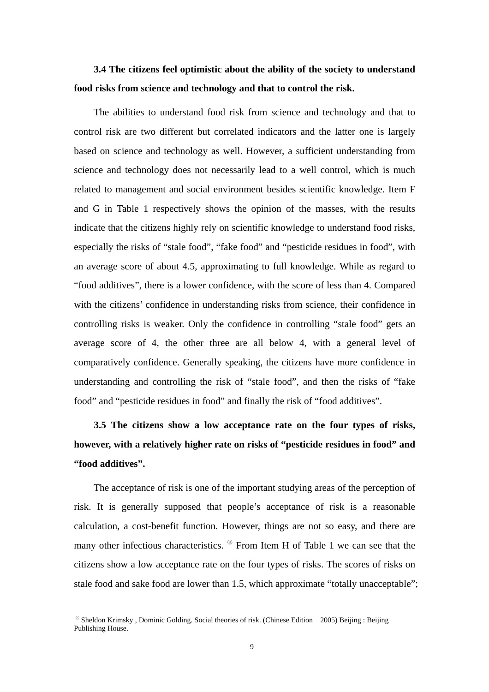# **3.4 The citizens feel optimistic about the ability of the society to understand food risks from science and technology and that to control the risk.**

The abilities to understand food risk from science and technology and that to control risk are two different but correlated indicators and the latter one is largely based on science and technology as well. However, a sufficient understanding from science and technology does not necessarily lead to a well control, which is much related to management and social environment besides scientific knowledge. Item F and G in Table 1 respectively shows the opinion of the masses, with the results indicate that the citizens highly rely on scientific knowledge to understand food risks, especially the risks of "stale food", "fake food" and "pesticide residues in food", with an average score of about 4.5, approximating to full knowledge. While as regard to "food additives", there is a lower confidence, with the score of less than 4. Compared with the citizens' confidence in understanding risks from science, their confidence in controlling risks is weaker. Only the confidence in controlling "stale food" gets an average score of 4, the other three are all below 4, with a general level of comparatively confidence. Generally speaking, the citizens have more confidence in understanding and controlling the risk of "stale food", and then the risks of "fake food" and "pesticide residues in food" and finally the risk of "food additives".

**3.5 The citizens show a low acceptance rate on the four types of risks, however, with a relatively higher rate on risks of "pesticide residues in food" and "food additives".** 

The acceptance of risk is one of the important studying areas of the perception of risk. It is generally supposed that people's acceptance of risk is a reasonable calculation, a cost-benefit function. However, things are not so easy, and there are many other infectious characteristics. [⑧](#page-8-0) From Item H of Table 1 we can see that the citizens show a low acceptance rate on the four types of risks. The scores of risks on stale food and sake food are lower than 1.5, which approximate "totally unacceptable";

<span id="page-8-0"></span><sup>⑧</sup> Sheldon Krimsky , Dominic Golding. Social theories of risk. (Chinese Edition 2005) Beijing : Beijing Publishing House.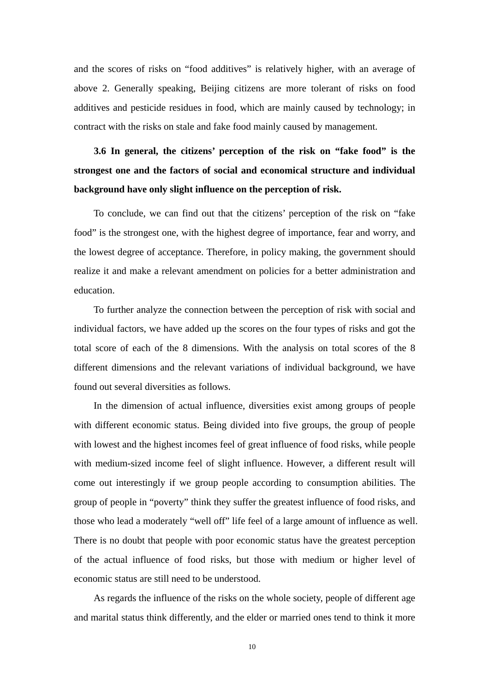and the scores of risks on "food additives" is relatively higher, with an average of above 2. Generally speaking, Beijing citizens are more tolerant of risks on food additives and pesticide residues in food, which are mainly caused by technology; in contract with the risks on stale and fake food mainly caused by management.

**3.6 In general, the citizens' perception of the risk on "fake food" is the strongest one and the factors of social and economical structure and individual background have only slight influence on the perception of risk.** 

To conclude, we can find out that the citizens' perception of the risk on "fake food" is the strongest one, with the highest degree of importance, fear and worry, and the lowest degree of acceptance. Therefore, in policy making, the government should realize it and make a relevant amendment on policies for a better administration and education.

To further analyze the connection between the perception of risk with social and individual factors, we have added up the scores on the four types of risks and got the total score of each of the 8 dimensions. With the analysis on total scores of the 8 different dimensions and the relevant variations of individual background, we have found out several diversities as follows.

In the dimension of actual influence, diversities exist among groups of people with different economic status. Being divided into five groups, the group of people with lowest and the highest incomes feel of great influence of food risks, while people with medium-sized income feel of slight influence. However, a different result will come out interestingly if we group people according to consumption abilities. The group of people in "poverty" think they suffer the greatest influence of food risks, and those who lead a moderately "well off" life feel of a large amount of influence as well. There is no doubt that people with poor economic status have the greatest perception of the actual influence of food risks, but those with medium or higher level of economic status are still need to be understood.

As regards the influence of the risks on the whole society, people of different age and marital status think differently, and the elder or married ones tend to think it more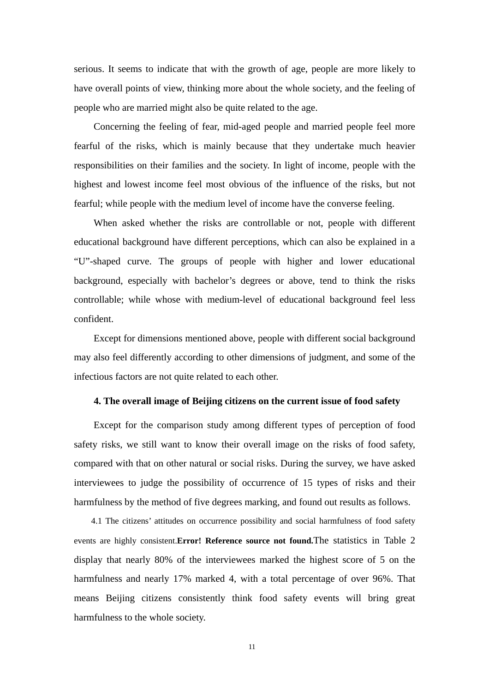serious. It seems to indicate that with the growth of age, people are more likely to have overall points of view, thinking more about the whole society, and the feeling of people who are married might also be quite related to the age.

Concerning the feeling of fear, mid-aged people and married people feel more fearful of the risks, which is mainly because that they undertake much heavier responsibilities on their families and the society. In light of income, people with the highest and lowest income feel most obvious of the influence of the risks, but not fearful; while people with the medium level of income have the converse feeling.

When asked whether the risks are controllable or not, people with different educational background have different perceptions, which can also be explained in a "U"-shaped curve. The groups of people with higher and lower educational background, especially with bachelor's degrees or above, tend to think the risks controllable; while whose with medium-level of educational background feel less confident.

Except for dimensions mentioned above, people with different social background may also feel differently according to other dimensions of judgment, and some of the infectious factors are not quite related to each other.

## **4. The overall image of Beijing citizens on the current issue of food safety**

Except for the comparison study among different types of perception of food safety risks, we still want to know their overall image on the risks of food safety, compared with that on other natural or social risks. During the survey, we have asked interviewees to judge the possibility of occurrence of 15 types of risks and their harmfulness by the method of five degrees marking, and found out results as follows.

4.1 The citizens' attitudes on occurrence possibility and social harmfulness of food safety events are highly consistent.**Error! Reference source not found.**The statistics in Table 2 display that nearly 80% of the interviewees marked the highest score of 5 on the harmfulness and nearly 17% marked 4, with a total percentage of over 96%. That means Beijing citizens consistently think food safety events will bring great harmfulness to the whole society.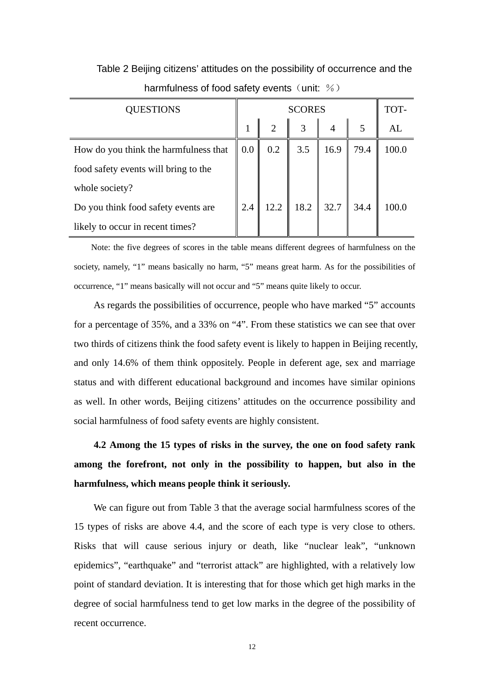Table 2 Beijing citizens' attitudes on the possibility of occurrence and the harmfulness of food safety events (unit:  $%$ )

| QUESTIONS                             |                   | <b>SCORES</b>  |                      |                  |      | TOT-  |
|---------------------------------------|-------------------|----------------|----------------------|------------------|------|-------|
|                                       |                   | $\overline{2}$ | 3                    |                  | 5    | AL    |
| How do you think the harmfulness that | $\vert 0.0 \vert$ | 0.2            | 3.5                  | 16.9             | 79.4 | 100.0 |
| food safety events will bring to the  |                   |                |                      |                  |      |       |
| whole society?                        |                   |                |                      |                  |      |       |
| Do you think food safety events are   | 2.4               | 12.2           | 18.2<br>$\mathbf{I}$ | $\parallel$ 32.7 | 34.4 | 100.0 |
| likely to occur in recent times?      |                   |                |                      |                  |      |       |

Note: the five degrees of scores in the table means different degrees of harmfulness on the society, namely, "1" means basically no harm, "5" means great harm. As for the possibilities of occurrence, "1" means basically will not occur and "5" means quite likely to occur.

As regards the possibilities of occurrence, people who have marked "5" accounts for a percentage of 35%, and a 33% on "4". From these statistics we can see that over two thirds of citizens think the food safety event is likely to happen in Beijing recently, and only 14.6% of them think oppositely. People in deferent age, sex and marriage status and with different educational background and incomes have similar opinions as well. In other words, Beijing citizens' attitudes on the occurrence possibility and social harmfulness of food safety events are highly consistent.

**4.2 Among the 15 types of risks in the survey, the one on food safety rank among the forefront, not only in the possibility to happen, but also in the harmfulness, which means people think it seriously.** 

We can figure out from Table 3 that the average social harmfulness scores of the 15 types of risks are above 4.4, and the score of each type is very close to others. Risks that will cause serious injury or death, like "nuclear leak", "unknown epidemics", "earthquake" and "terrorist attack" are highlighted, with a relatively low point of standard deviation. It is interesting that for those which get high marks in the degree of social harmfulness tend to get low marks in the degree of the possibility of recent occurrence.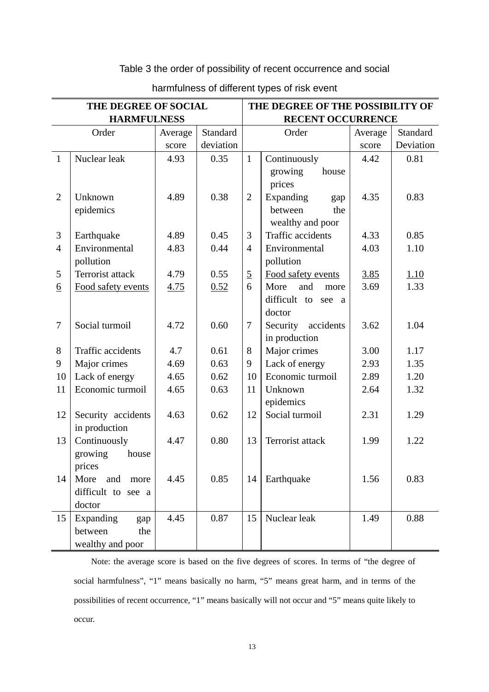## Table 3 the order of possibility of recent occurrence and social

| THE DEGREE OF SOCIAL |                          |         | THE DEGREE OF THE POSSIBILITY OF |                          |                       |         |           |  |
|----------------------|--------------------------|---------|----------------------------------|--------------------------|-----------------------|---------|-----------|--|
|                      | <b>HARMFULNESS</b>       |         |                                  | <b>RECENT OCCURRENCE</b> |                       |         |           |  |
|                      | Order                    | Average | Standard                         |                          | Order                 | Average | Standard  |  |
|                      |                          | score   | deviation                        |                          |                       | score   | Deviation |  |
| $\mathbf{1}$         | Nuclear leak             | 4.93    | 0.35                             | $\mathbf{1}$             | Continuously          | 4.42    | 0.81      |  |
|                      |                          |         |                                  |                          | growing<br>house      |         |           |  |
|                      |                          |         |                                  |                          | prices                |         |           |  |
| $\overline{2}$       | Unknown                  | 4.89    | 0.38                             | $\overline{2}$           | Expanding<br>gap      | 4.35    | 0.83      |  |
|                      | epidemics                |         |                                  |                          | between<br>the        |         |           |  |
|                      |                          |         |                                  |                          | wealthy and poor      |         |           |  |
| 3                    | Earthquake               | 4.89    | 0.45                             | 3                        | Traffic accidents     | 4.33    | 0.85      |  |
| $\overline{4}$       | Environmental            | 4.83    | 0.44                             | $\overline{4}$           | Environmental         | 4.03    | 1.10      |  |
|                      | pollution                |         |                                  |                          | pollution             |         |           |  |
| 5                    | Terrorist attack         | 4.79    | 0.55                             | $\overline{5}$           | Food safety events    | 3.85    | 1.10      |  |
| $\underline{6}$      | Food safety events       | 4.75    | 0.52                             | 6                        | More<br>and<br>more   | 3.69    | 1.33      |  |
|                      |                          |         |                                  |                          | difficult to see a    |         |           |  |
|                      |                          |         |                                  |                          | doctor                |         |           |  |
| $\tau$               | Social turmoil           | 4.72    | 0.60                             | $\overline{7}$           | Security<br>accidents | 3.62    | 1.04      |  |
|                      |                          |         |                                  |                          | in production         |         |           |  |
| 8                    | <b>Traffic accidents</b> | 4.7     | 0.61                             | 8                        | Major crimes          | 3.00    | 1.17      |  |
| 9                    | Major crimes             | 4.69    | 0.63                             | 9                        | Lack of energy        | 2.93    | 1.35      |  |
| 10                   | Lack of energy           | 4.65    | 0.62                             | 10                       | Economic turmoil      | 2.89    | 1.20      |  |
| 11                   | Economic turmoil         | 4.65    | 0.63                             | 11                       | Unknown               | 2.64    | 1.32      |  |
|                      |                          |         |                                  |                          | epidemics             |         |           |  |
| 12                   | Security accidents       | 4.63    | 0.62                             | 12                       | Social turmoil        | 2.31    | 1.29      |  |
|                      | in production            |         |                                  |                          |                       |         |           |  |
| 13                   | Continuously             | 4.47    | 0.80                             | 13                       | Terrorist attack      | 1.99    | 1.22      |  |
|                      | growing<br>house         |         |                                  |                          |                       |         |           |  |
|                      | prices                   |         |                                  |                          |                       |         |           |  |
| 14                   | More<br>and<br>more      | 4.45    | 0.85                             | 14                       | Earthquake            | 1.56    | 0.83      |  |
|                      | difficult to see a       |         |                                  |                          |                       |         |           |  |
|                      | doctor                   |         |                                  |                          |                       |         |           |  |
| 15                   | Expanding<br>gap         | 4.45    | 0.87                             | 15                       | Nuclear leak          | 1.49    | 0.88      |  |
|                      | between<br>the           |         |                                  |                          |                       |         |           |  |
|                      | wealthy and poor         |         |                                  |                          |                       |         |           |  |

## harmfulness of different types of risk event

Note: the average score is based on the five degrees of scores. In terms of "the degree of social harmfulness", "1" means basically no harm, "5" means great harm, and in terms of the possibilities of recent occurrence, "1" means basically will not occur and "5" means quite likely to occur.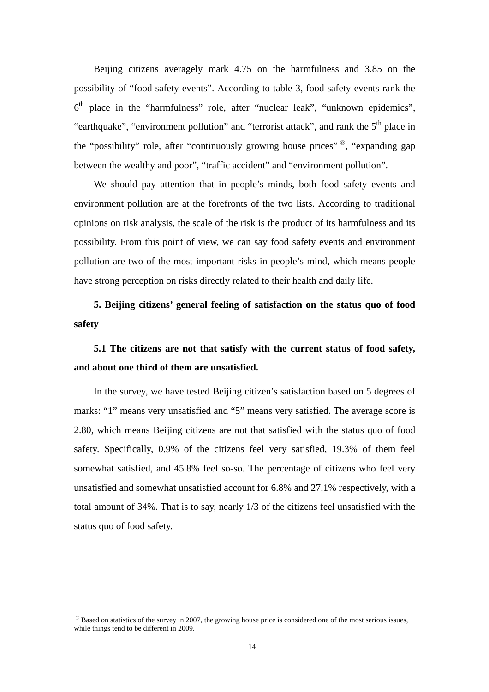Beijing citizens averagely mark 4.75 on the harmfulness and 3.85 on the possibility of "food safety events". According to table 3, food safety events rank the  $6<sup>th</sup>$  place in the "harmfulness" role, after "nuclear leak", "unknown epidemics", "earthquake", "environment pollution" and "terrorist attack", and rank the  $5<sup>th</sup>$  place in the "possibility" role, after "continuously growing house prices" [⑨](#page-13-0), "expanding gap between the wealthy and poor", "traffic accident" and "environment pollution".

We should pay attention that in people's minds, both food safety events and environment pollution are at the forefronts of the two lists. According to traditional opinions on risk analysis, the scale of the risk is the product of its harmfulness and its possibility. From this point of view, we can say food safety events and environment pollution are two of the most important risks in people's mind, which means people have strong perception on risks directly related to their health and daily life.

**5. Beijing citizens' general feeling of satisfaction on the status quo of food safety** 

# **5.1 The citizens are not that satisfy with the current status of food safety, and about one third of them are unsatisfied.**

In the survey, we have tested Beijing citizen's satisfaction based on 5 degrees of marks: "1" means very unsatisfied and "5" means very satisfied. The average score is 2.80, which means Beijing citizens are not that satisfied with the status quo of food safety. Specifically, 0.9% of the citizens feel very satisfied, 19.3% of them feel somewhat satisfied, and 45.8% feel so-so. The percentage of citizens who feel very unsatisfied and somewhat unsatisfied account for 6.8% and 27.1% respectively, with a total amount of 34%. That is to say, nearly 1/3 of the citizens feel unsatisfied with the status quo of food safety.

<span id="page-13-0"></span><sup>⑨</sup> Based on statistics of the survey in 2007, the growing house price is considered one of the most serious issues, while things tend to be different in 2009.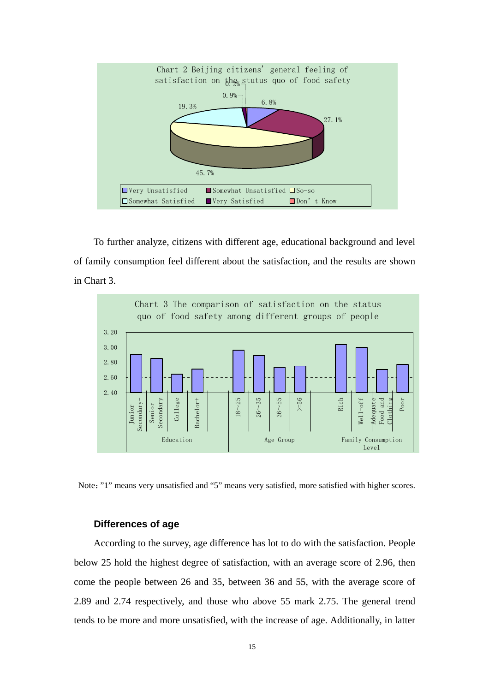

To further analyze, citizens with different age, educational background and level of family consumption feel different about the satisfaction, and the results are shown in Chart 3.



Note:"1" means very unsatisfied and "5" means very satisfied, more satisfied with higher scores.

## **Differences of age**

According to the survey, age difference has lot to do with the satisfaction. People below 25 hold the highest degree of satisfaction, with an average score of 2.96, then come the people between 26 and 35, between 36 and 55, with the average score of 2.89 and 2.74 respectively, and those who above 55 mark 2.75. The general trend tends to be more and more unsatisfied, with the increase of age. Additionally, in latter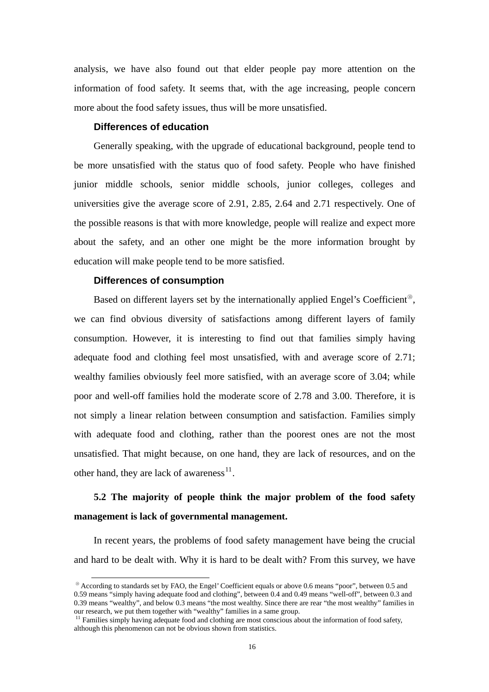analysis, we have also found out that elder people pay more attention on the information of food safety. It seems that, with the age increasing, people concern more about the food safety issues, thus will be more unsatisfied.

## **Differences of education**

Generally speaking, with the upgrade of educational background, people tend to be more unsatisfied with the status quo of food safety. People who have finished junior middle schools, senior middle schools, junior colleges, colleges and universities give the average score of 2.91, 2.85, 2.64 and 2.71 respectively. One of the possible reasons is that with more knowledge, people will realize and expect more about the safety, and an other one might be the more information brought by education will make people tend to be more satisfied.

#### **Differences of consumption**

 $\overline{a}$ 

Based on different layers set by the internationally applied Engel's Coefficient<sup>®</sup>, we can find obvious diversity of satisfactions among different layers of family consumption. However, it is interesting to find out that families simply having adequate food and clothing feel most unsatisfied, with and average score of 2.71; wealthy families obviously feel more satisfied, with an average score of 3.04; while poor and well-off families hold the moderate score of 2.78 and 3.00. Therefore, it is not simply a linear relation between consumption and satisfaction. Families simply with adequate food and clothing, rather than the poorest ones are not the most unsatisfied. That might because, on one hand, they are lack of resources, and on the other hand, they are lack of awareness $^{11}$  $^{11}$  $^{11}$ .

# **5.2 The majority of people think the major problem of the food safety management is lack of governmental management.**

In recent years, the problems of food safety management have being the crucial and hard to be dealt with. Why it is hard to be dealt with? From this survey, we have

<span id="page-15-0"></span><sup>⑩</sup> According to standards set by FAO, the Engel' Coefficient equals or above 0.6 means "poor", between 0.5 and 0.59 means "simply having adequate food and clothing", between 0.4 and 0.49 means "well-off", between 0.3 and 0.39 means "wealthy", and below 0.3 means "the most wealthy. Since there are rear "the most wealthy" families in our research, we put them together with "wealthy" families in a same group.<br><sup>11</sup> Families simply having adequate food and clothing are most conscious about the information of food safety,

<span id="page-15-1"></span>although this phenomenon can not be obvious shown from statistics.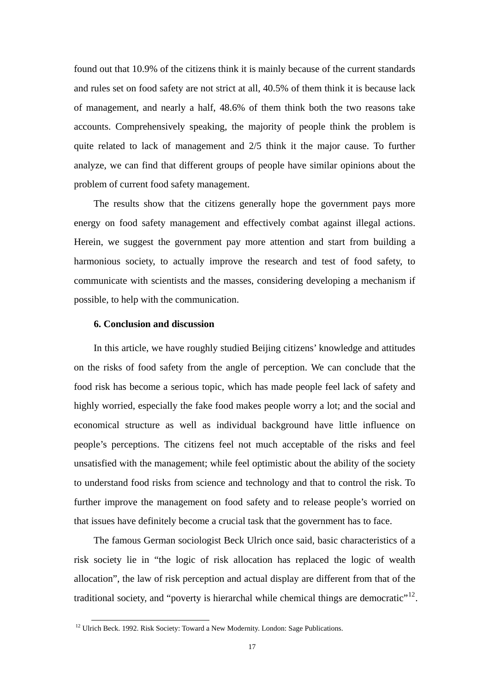found out that 10.9% of the citizens think it is mainly because of the current standards and rules set on food safety are not strict at all, 40.5% of them think it is because lack of management, and nearly a half, 48.6% of them think both the two reasons take accounts. Comprehensively speaking, the majority of people think the problem is quite related to lack of management and 2/5 think it the major cause. To further analyze, we can find that different groups of people have similar opinions about the problem of current food safety management.

The results show that the citizens generally hope the government pays more energy on food safety management and effectively combat against illegal actions. Herein, we suggest the government pay more attention and start from building a harmonious society, to actually improve the research and test of food safety, to communicate with scientists and the masses, considering developing a mechanism if possible, to help with the communication.

## **6. Conclusion and discussion**

In this article, we have roughly studied Beijing citizens' knowledge and attitudes on the risks of food safety from the angle of perception. We can conclude that the food risk has become a serious topic, which has made people feel lack of safety and highly worried, especially the fake food makes people worry a lot; and the social and economical structure as well as individual background have little influence on people's perceptions. The citizens feel not much acceptable of the risks and feel unsatisfied with the management; while feel optimistic about the ability of the society to understand food risks from science and technology and that to control the risk. To further improve the management on food safety and to release people's worried on that issues have definitely become a crucial task that the government has to face.

The famous German sociologist Beck Ulrich once said, basic characteristics of a risk society lie in "the logic of risk allocation has replaced the logic of wealth allocation", the law of risk perception and actual display are different from that of the traditional society, and "poverty is hierarchal while chemical things are democratic"<sup>[12](#page-16-0)</sup>.

<span id="page-16-0"></span> $12$  Ulrich Beck. 1992. Risk Society: Toward a New Modernity. London: Sage Publications.